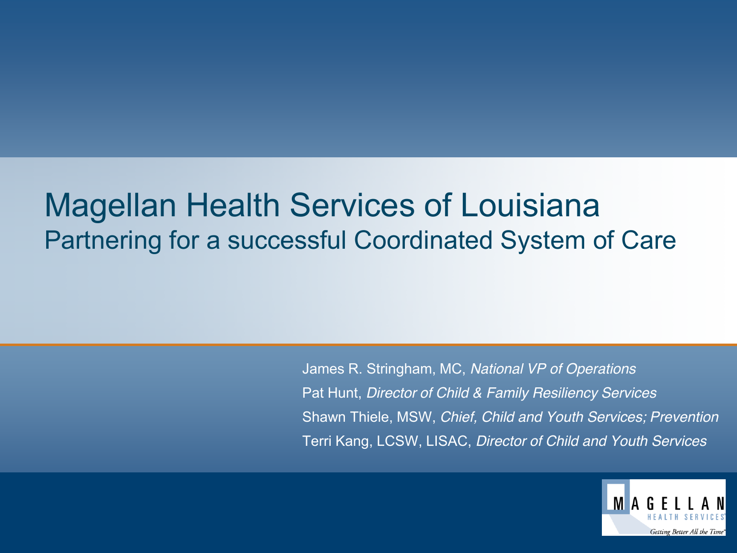### Magellan Health Services of Louisiana Partnering for a successful Coordinated System of Care

James R. Stringham, MC, *National VP of Operations* Pat Hunt, *Director of Child & Family Resiliency Services* Shawn Thiele, MSW, *Chief, Child and Youth Services; Prevention* Terri Kang, LCSW, LISAC, *Director of Child and Youth Services*

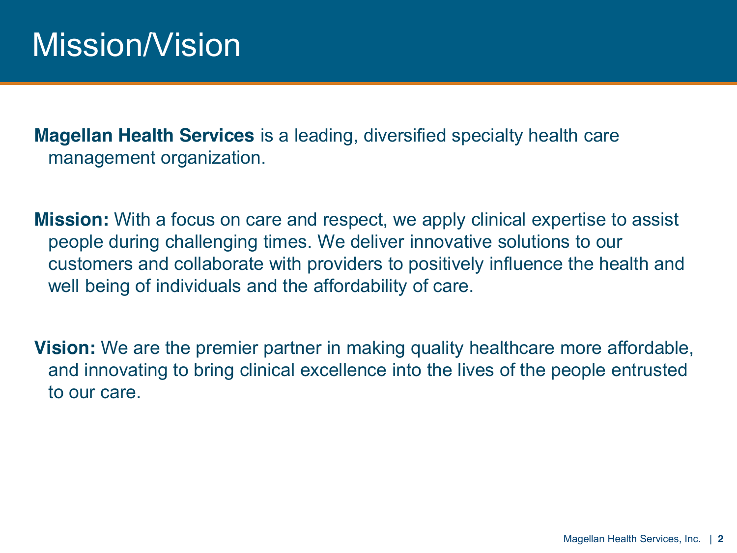**Magellan Health Services** is a leading, diversified specialty health care management organization.

**Mission:** With a focus on care and respect, we apply clinical expertise to assist people during challenging times. We deliver innovative solutions to our customers and collaborate with providers to positively influence the health and well being of individuals and the affordability of care.

**Vision:** We are the premier partner in making quality healthcare more affordable, and innovating to bring clinical excellence into the lives of the people entrusted to our care.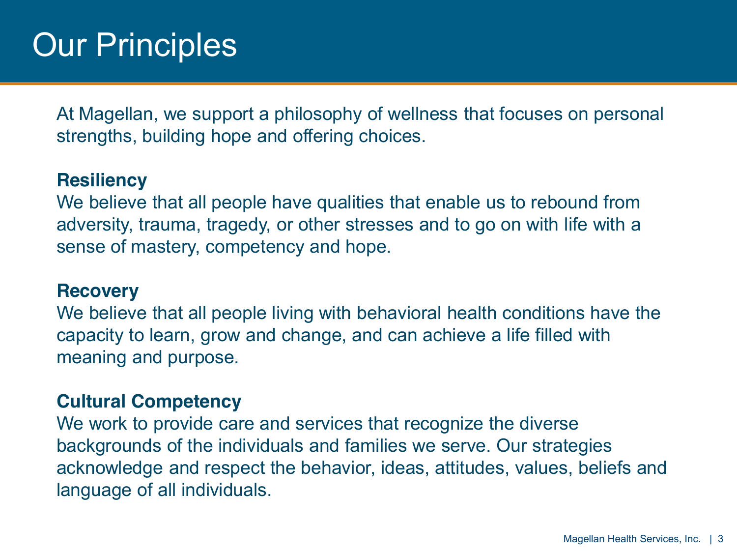At Magellan, we support a philosophy of wellness that focuses on personal strengths, building hope and offering choices.

#### **Resiliency**

We believe that all people have qualities that enable us to rebound from adversity, trauma, tragedy, or other stresses and to go on with life with a sense of mastery, competency and hope.

#### **Recovery**

We believe that all people living with behavioral health conditions have the capacity to learn, grow and change, and can achieve a life filled with meaning and purpose.

#### **Cultural Competency**

We work to provide care and services that recognize the diverse backgrounds of the individuals and families we serve. Our strategies acknowledge and respect the behavior, ideas, attitudes, values, beliefs and language of all individuals.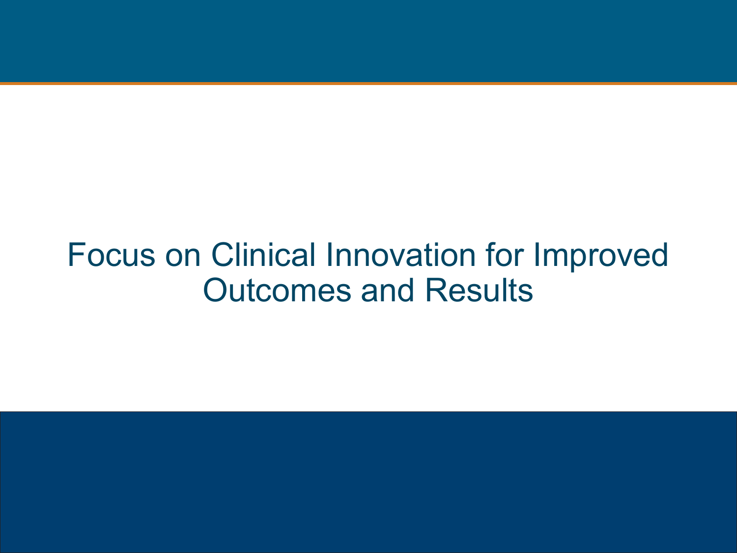## Focus on Clinical Innovation for Improved Outcomes and Results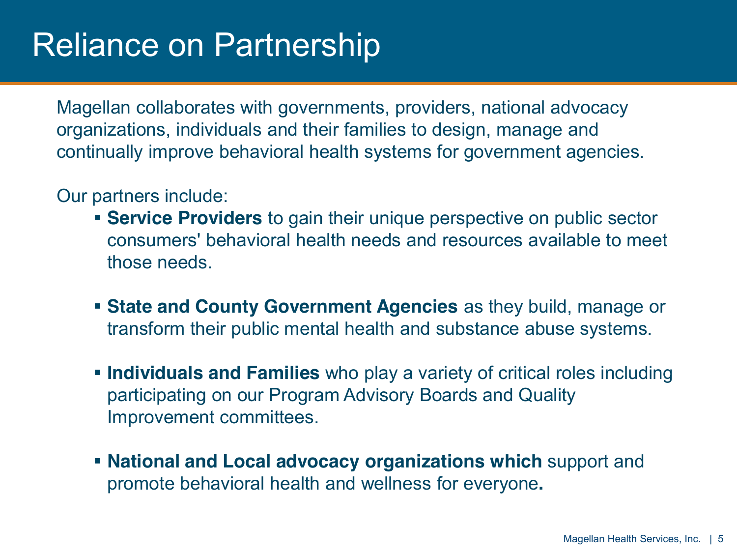## Reliance on Partnership

Magellan collaborates with governments, providers, national advocacy organizations, individuals and their families to design, manage and continually improve behavioral health systems for government agencies.

#### Our partners include:

- **Service Providers** to gain their unique perspective on public sector consumers' behavioral health needs and resources available to meet those needs.
- **State and County Government Agencies** as they build, manage or transform their public mental health and substance abuse systems.
- **Individuals and Families** who play a variety of critical roles including participating on our Program Advisory Boards and Quality Improvement committees.
- **National and Local advocacy organizations which** support and promote behavioral health and wellness for everyone**.**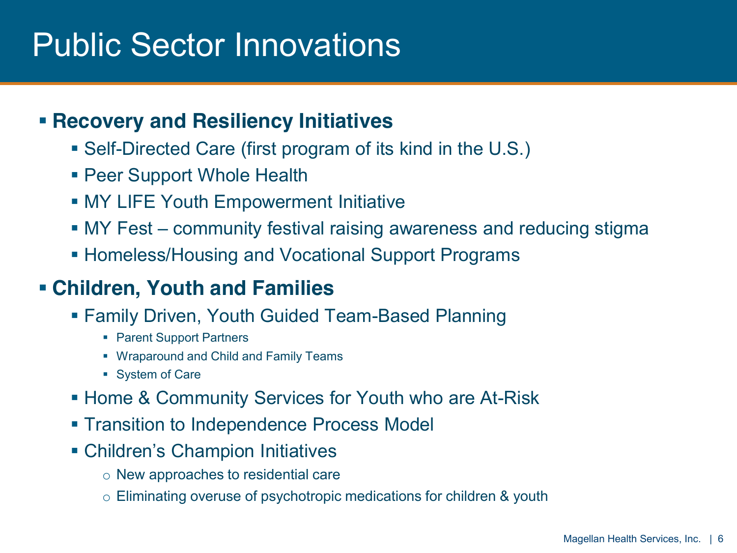## Public Sector Innovations

### **Recovery and Resiliency Initiatives**

- Self-Directed Care (first program of its kind in the U.S.)
- **Peer Support Whole Health**
- MY LIFE Youth Empowerment Initiative
- MY Fest community festival raising awareness and reducing stigma
- **Homeless/Housing and Vocational Support Programs**

### **Children, Youth and Families**

- Family Driven, Youth Guided Team-Based Planning
	- Parent Support Partners
	- **Wraparound and Child and Family Teams**
	- **System of Care**
- **Home & Community Services for Youth who are At-Risk**
- **Transition to Independence Process Model**
- Children's Champion Initiatives
	- o New approaches to residential care
	- o Eliminating overuse of psychotropic medications for children & youth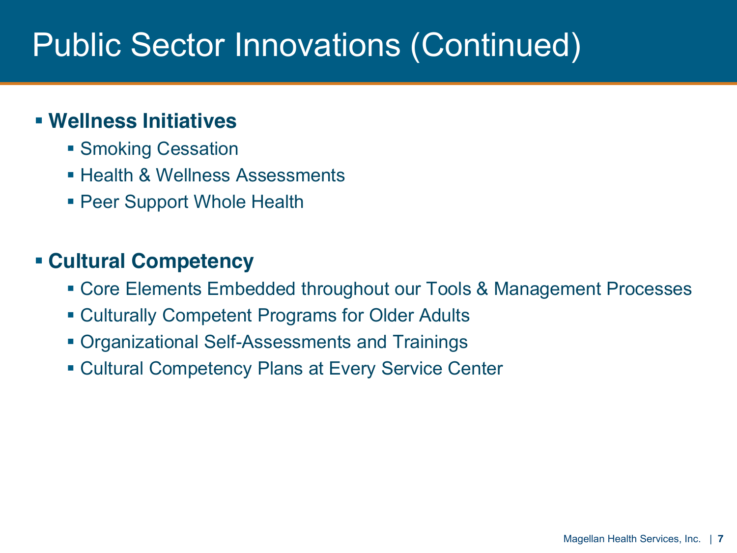# Public Sector Innovations (Continued)

### **Wellness Initiatives**

- **Smoking Cessation**
- **Health & Wellness Assessments**
- **Peer Support Whole Health**

### **Cultural Competency**

- Core Elements Embedded throughout our Tools & Management Processes
- Culturally Competent Programs for Older Adults
- Organizational Self-Assessments and Trainings
- Cultural Competency Plans at Every Service Center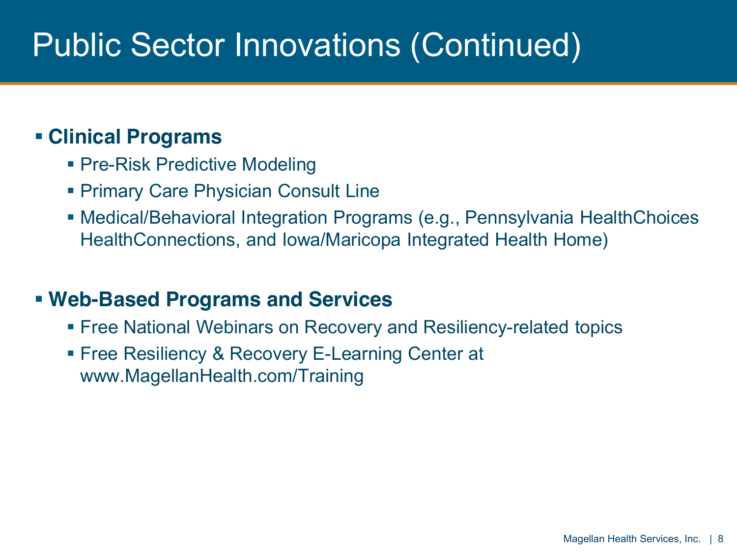## Public Sector Innovations (Continued)

### **Clinical Programs**

- Pre-Risk Predictive Modeling
- **Primary Care Physician Consult Line**
- Medical/Behavioral Integration Programs (e.g., Pennsylvania HealthChoices HealthConnections, and Iowa/Maricopa Integrated Health Home)

### **Web-Based Programs and Services**

- Free National Webinars on Recovery and Resiliency-related topics
- **Free Resiliency & Recovery E-Learning Center at** www.MagellanHealth.com/Training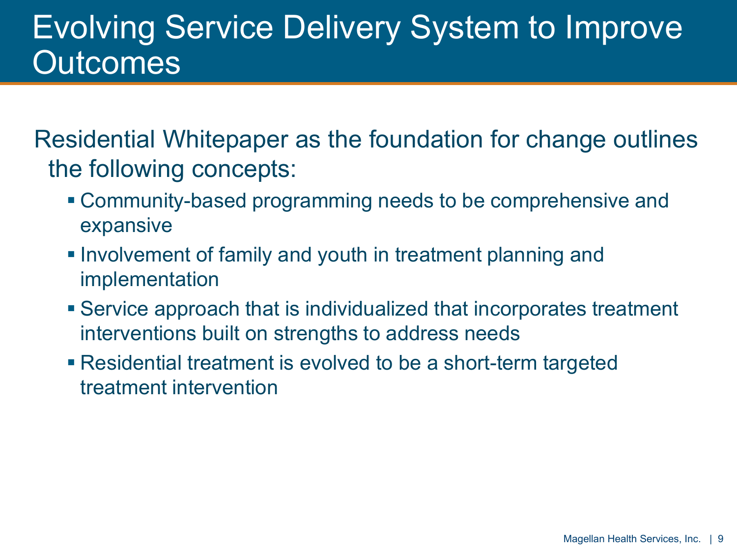## Evolving Service Delivery System to Improve **Outcomes**

Residential Whitepaper as the foundation for change outlines the following concepts:

- Community-based programming needs to be comprehensive and expansive
- **Involvement of family and youth in treatment planning and** implementation
- Service approach that is individualized that incorporates treatment interventions built on strengths to address needs
- Residential treatment is evolved to be a short-term targeted treatment intervention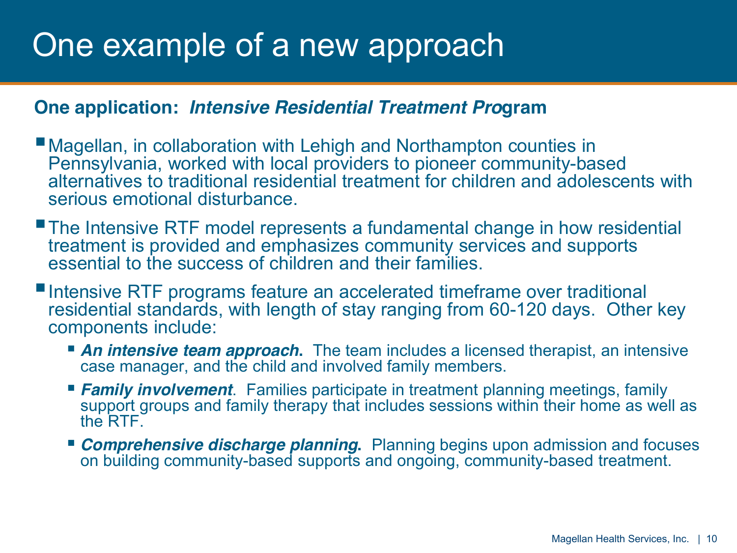## One example of a new approach

#### **One application:** *Intensive Residential Treatment Pro***gram**

- Magellan, in collaboration with Lehigh and Northampton counties in Pennsylvania, worked with local providers to pioneer community-based alternatives to traditional residential treatment for children and adolescents with serious emotional disturbance.
- The Intensive RTF model represents a fundamental change in how residential treatment is provided and emphasizes community services and supports essential to the success of children and their families.
- ■Intensive RTF programs feature an accelerated timeframe over traditional residential standards, with length of stay ranging from 60-120 days. Other key components include:
	- **An intensive team approach.** The team includes a licensed therapist, an intensive case manager, and the child and involved family members.
	- *Family involvement*. Families participate in treatment planning meetings, family support groups and family therapy that includes sessions within their home as well as the RTF.
	- **Comprehensive discharge planning.** Planning begins upon admission and focuses on building community-based supports and ongoing, community-based treatment.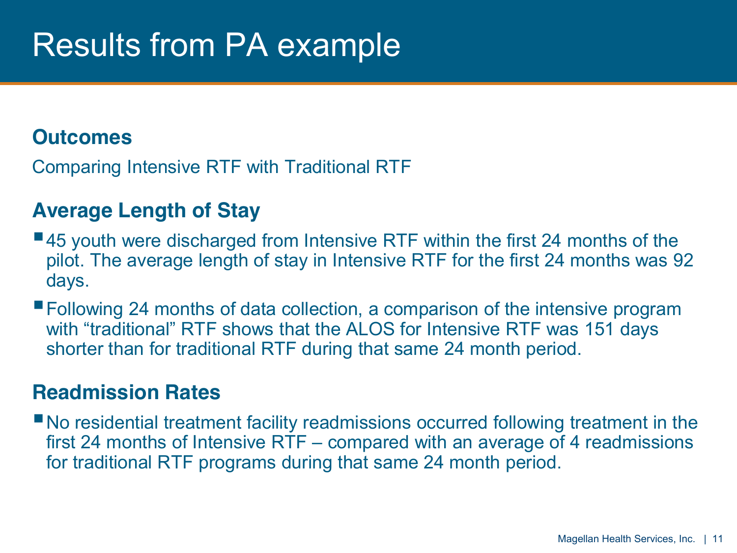## Results from PA example

### **Outcomes**

Comparing Intensive RTF with Traditional RTF

### **Average Length of Stay**

- ■45 youth were discharged from Intensive RTF within the first 24 months of the pilot. The average length of stay in Intensive RTF for the first 24 months was 92 days.
- Following 24 months of data collection, a comparison of the intensive program with "traditional" RTF shows that the ALOS for Intensive RTF was 151 days shorter than for traditional RTF during that same 24 month period.

#### **Readmission Rates**

No residential treatment facility readmissions occurred following treatment in the first 24 months of Intensive  $RTF - compared$  with an average of 4 readmissions for traditional RTF programs during that same 24 month period.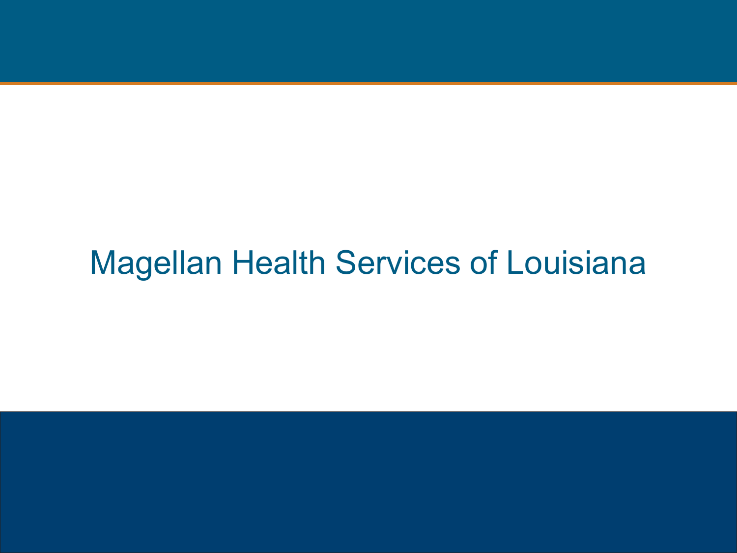## Magellan Health Services of Louisiana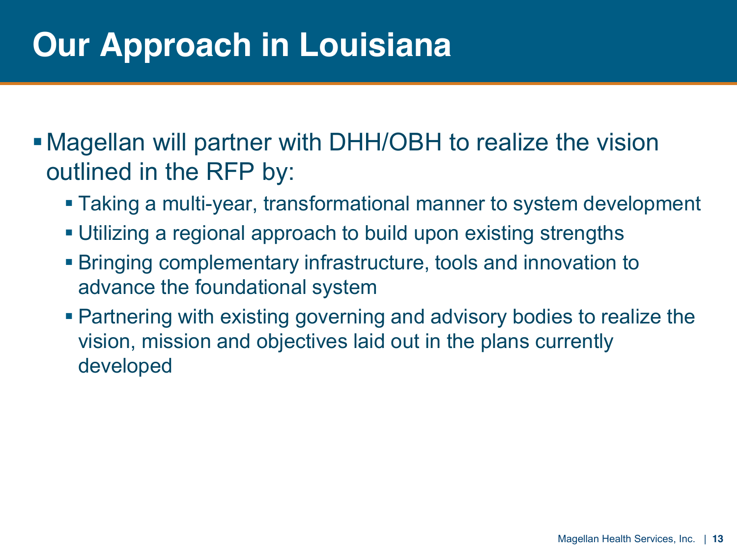# **Our Approach in Louisiana**

Magellan will partner with DHH/OBH to realize the vision outlined in the RFP by:

- Taking a multi-year, transformational manner to system development
- Utilizing a regional approach to build upon existing strengths
- Bringing complementary infrastructure, tools and innovation to advance the foundational system
- Partnering with existing governing and advisory bodies to realize the vision, mission and objectives laid out in the plans currently developed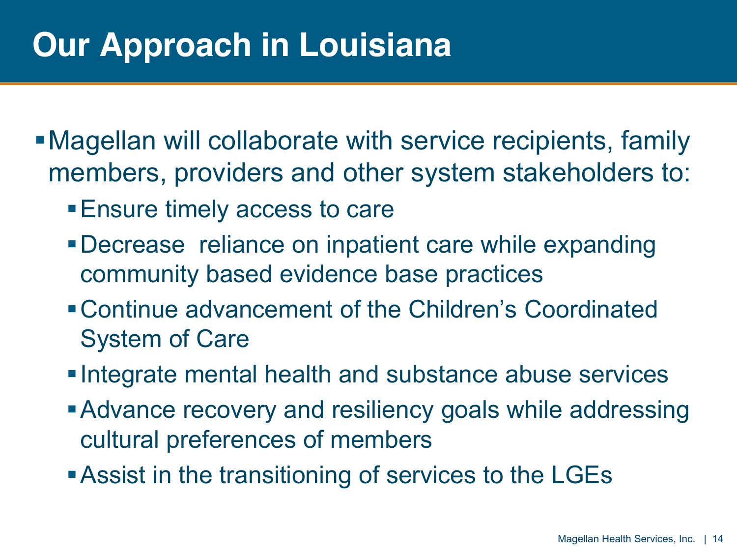# **Our Approach in Louisiana**

- Magellan will collaborate with service recipients, family members, providers and other system stakeholders to:
	- Ensure timely access to care
	- Decrease reliance on inpatient care while expanding community based evidence base practices
	- Continue advancement of the Children's Coordinated System of Care
	- **Integrate mental health and substance abuse services**
	- Advance recovery and resiliency goals while addressing cultural preferences of members
	- **Assist in the transitioning of services to the LGEs**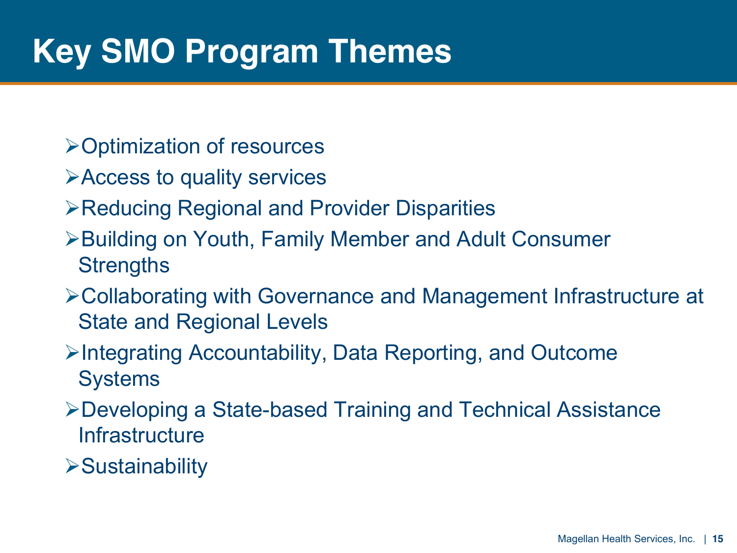# **Key SMO Program Themes**

- ¾Optimization of resources
- ¾Access to quality services
- ¾Reducing Regional and Provider Disparities
- ¾Building on Youth, Family Member and Adult Consumer **Strengths**
- ¾Collaborating with Governance and Management Infrastructure at State and Regional Levels
- ¾Integrating Accountability, Data Reporting, and Outcome **Systems**
- ¾Developing a State-based Training and Technical Assistance **Infrastructure**
- ¾Sustainability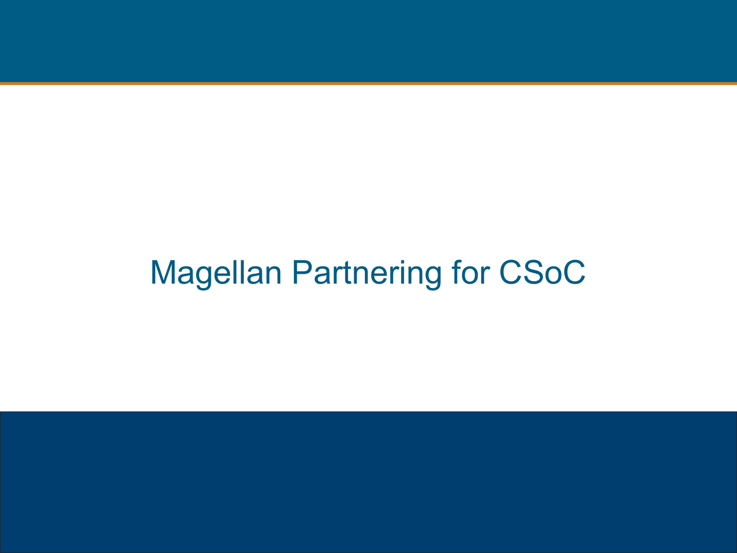# Magellan Partnering for CSoC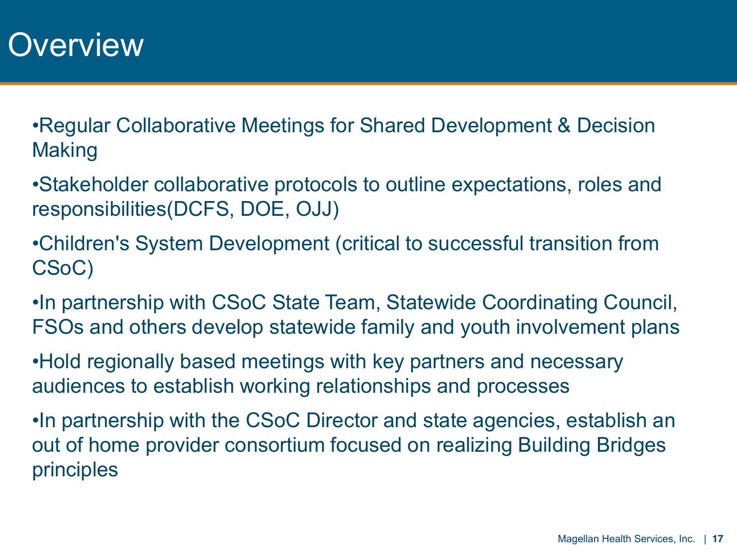### **Overview**

Regular Collaborative Meetings for Shared Development & Decision Making

Stakeholder collaborative protocols to outline expectations, roles and responsibilities(DCFS, DOE, OJJ)

Children's System Development (critical to successful transition from CSoC)

. In partnership with CSoC State Team, Statewide Coordinating Council, FSOs and others develop statewide family and youth involvement plans

Hold regionally based meetings with key partners and necessary audiences to establish working relationships and processes

•In partnership with the CSoC Director and state agencies, establish an out of home provider consortium focused on realizing Building Bridges principles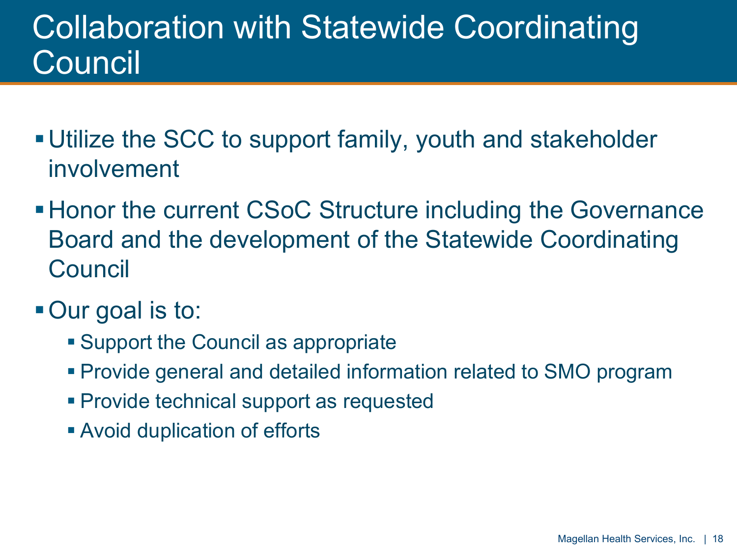## Collaboration with Statewide Coordinating **Council**

- Utilize the SCC to support family, youth and stakeholder involvement
- Honor the current CSoC Structure including the Governance Board and the development of the Statewide Coordinating **Council**
- Our goal is to:
	- Support the Council as appropriate
	- Provide general and detailed information related to SMO program
	- **Provide technical support as requested**
	- Avoid duplication of efforts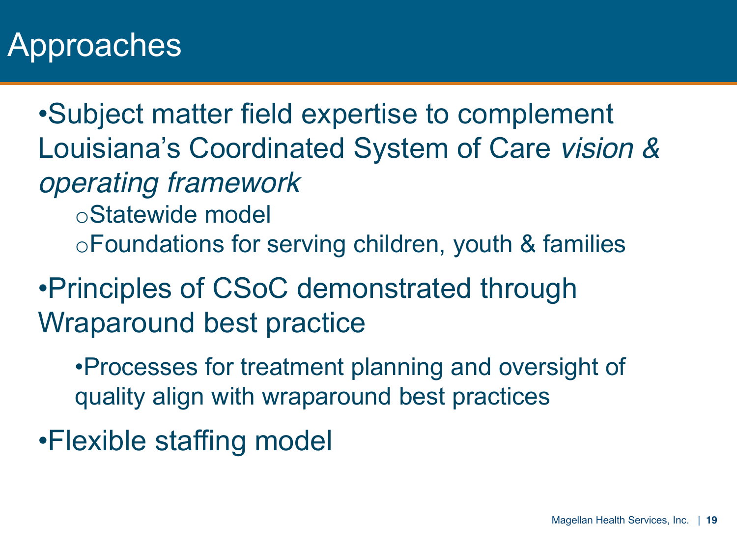## Approaches

Subject matter field expertise to complement Louisiana's Coordinated System of Care vision & *operating framework* oStatewide model oFoundations for serving children, youth & families

Principles of CSoC demonstrated through Wraparound best practice

Processes for treatment planning and oversight of quality align with wraparound best practices

Flexible staffing model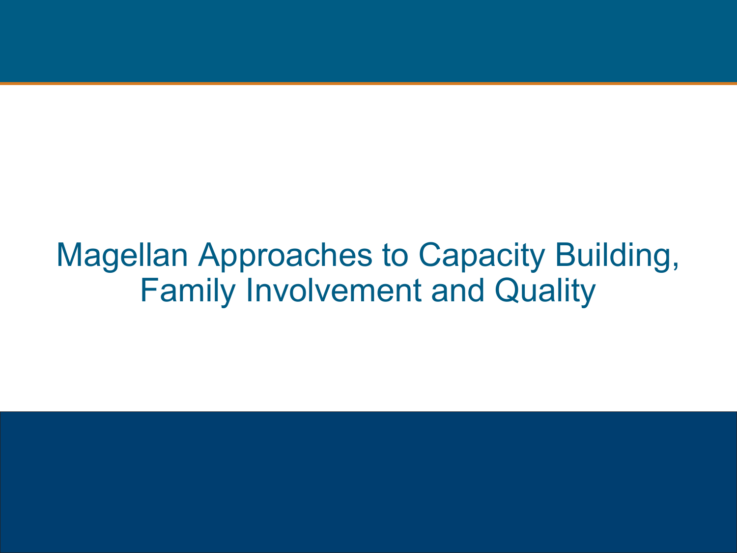Magellan Approaches to Capacity Building, Family Involvement and Quality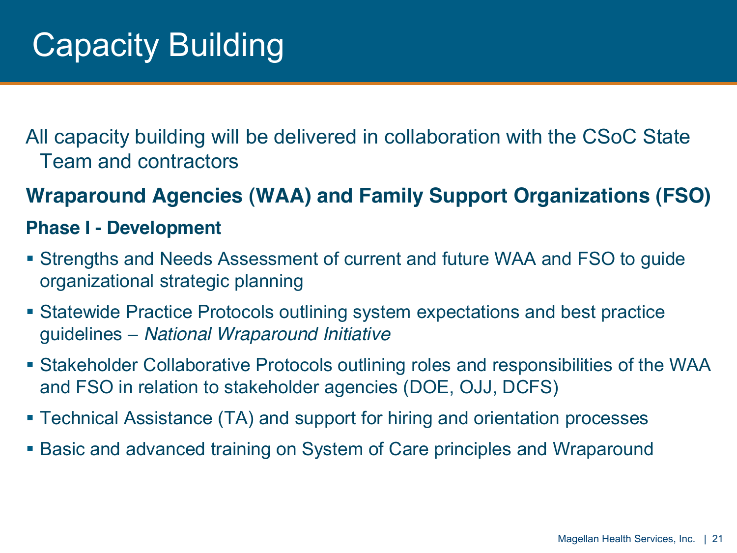All capacity building will be delivered in collaboration with the CSoC State Team and contractors

### **Wraparound Agencies (WAA) and Family Support Organizations (FSO)**

#### **Phase I - Development**

- Strengths and Needs Assessment of current and future WAA and FSO to guide organizational strategic planning
- Statewide Practice Protocols outlining system expectations and best practice guidelines ± *National Wraparound Initiative*
- Stakeholder Collaborative Protocols outlining roles and responsibilities of the WAA and FSO in relation to stakeholder agencies (DOE, OJJ, DCFS)
- Technical Assistance (TA) and support for hiring and orientation processes
- Basic and advanced training on System of Care principles and Wraparound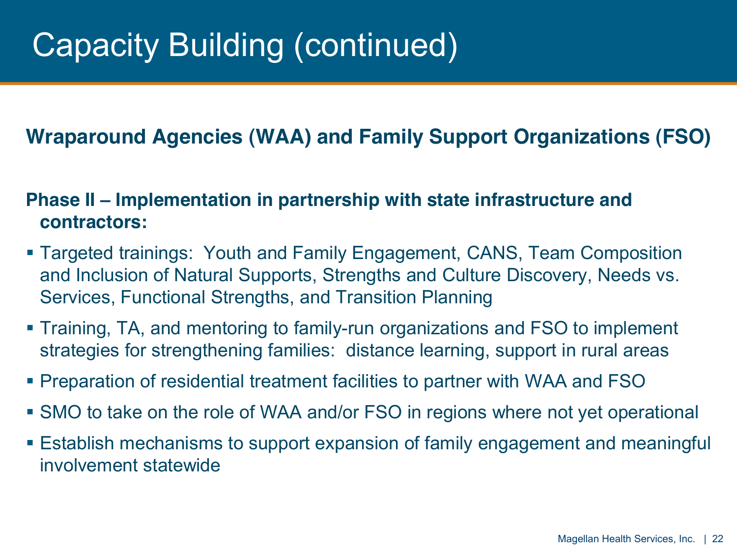# Capacity Building (continued)

### **Wraparound Agencies (WAA) and Family Support Organizations (FSO)**

#### **Phase II – Implementation in partnership with state infrastructure and contractors:**

- Targeted trainings: Youth and Family Engagement, CANS, Team Composition and Inclusion of Natural Supports, Strengths and Culture Discovery, Needs vs. Services, Functional Strengths, and Transition Planning
- Training, TA, and mentoring to family-run organizations and FSO to implement strategies for strengthening families: distance learning, support in rural areas
- Preparation of residential treatment facilities to partner with WAA and FSO
- SMO to take on the role of WAA and/or FSO in regions where not yet operational
- Establish mechanisms to support expansion of family engagement and meaningful involvement statewide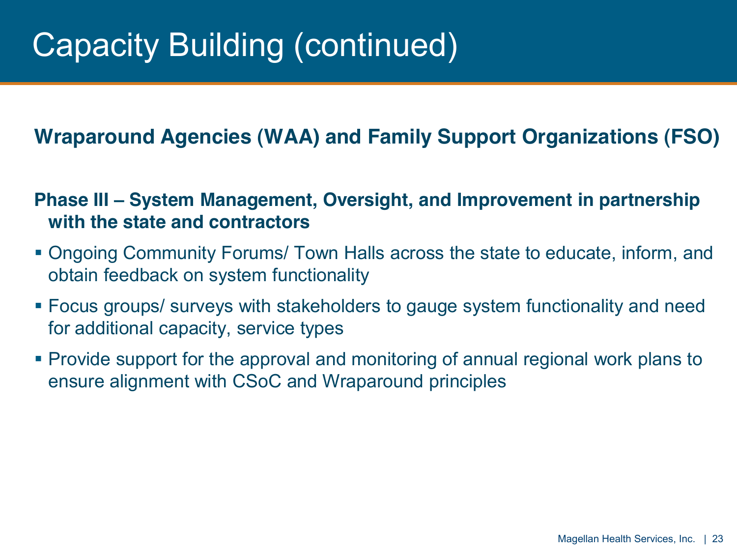# Capacity Building (continued)

### **Wraparound Agencies (WAA) and Family Support Organizations (FSO)**

#### **Phase III ± System Management, Oversight, and Improvement in partnership with the state and contractors**

- Ongoing Community Forums/ Town Halls across the state to educate, inform, and obtain feedback on system functionality
- Focus groups/ surveys with stakeholders to gauge system functionality and need for additional capacity, service types
- Provide support for the approval and monitoring of annual regional work plans to ensure alignment with CSoC and Wraparound principles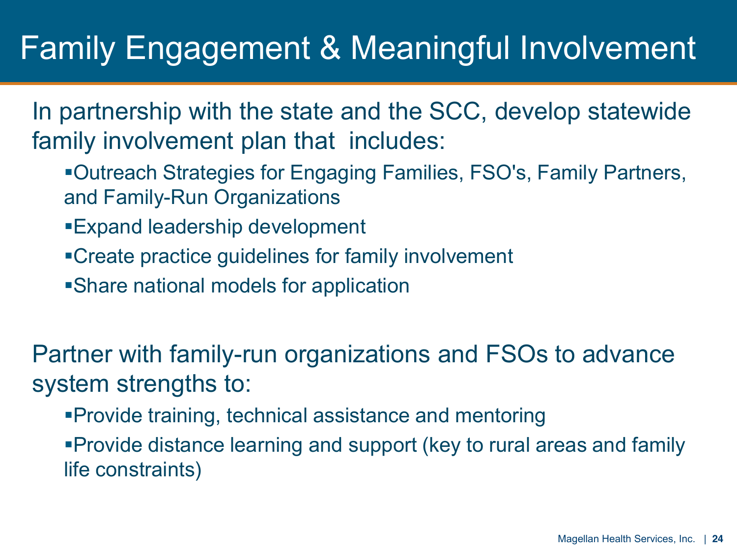## Family Engagement & Meaningful Involvement

In partnership with the state and the SCC, develop statewide family involvement plan that includes:

- Outreach Strategies for Engaging Families, FSO's, Family Partners, and Family-Run Organizations
- Expand leadership development
- Create practice guidelines for family involvement
- Share national models for application

Partner with family-run organizations and FSOs to advance system strengths to:

Provide training, technical assistance and mentoring

Provide distance learning and support (key to rural areas and family life constraints)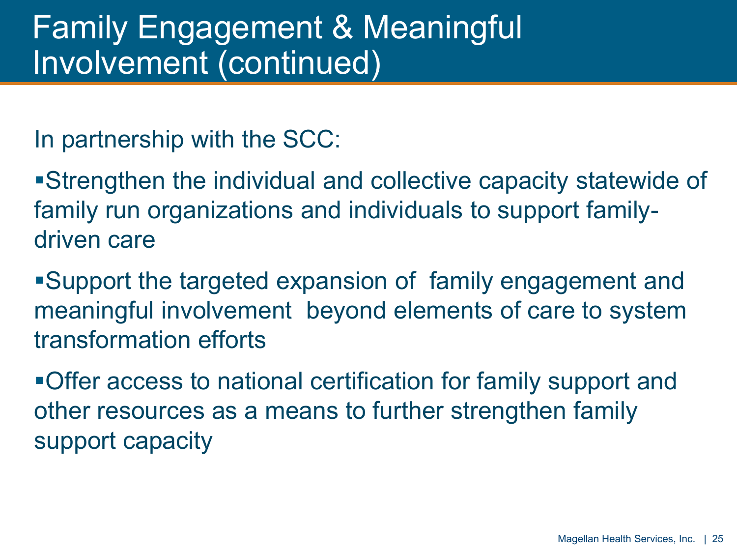In partnership with the SCC:

Strengthen the individual and collective capacity statewide of family run organizations and individuals to support familydriven care

Support the targeted expansion of family engagement and meaningful involvement beyond elements of care to system transformation efforts

Offer access to national certification for family support and other resources as a means to further strengthen family support capacity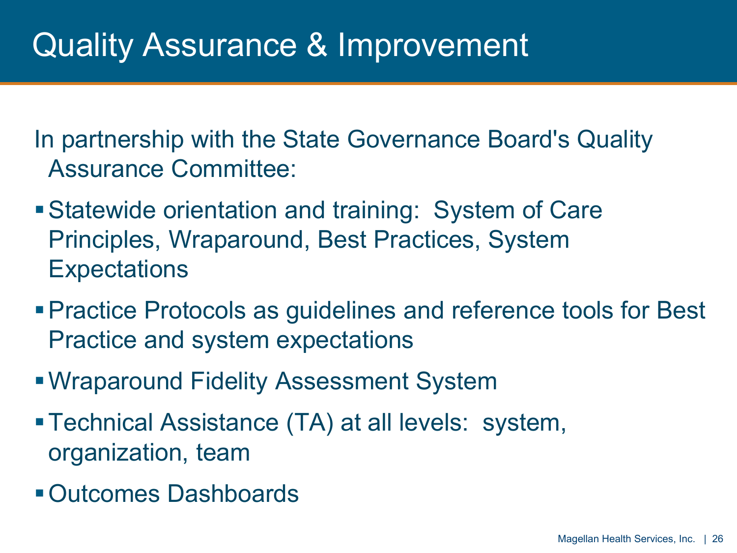In partnership with the State Governance Board's Quality Assurance Committee:

- Statewide orientation and training: System of Care Principles, Wraparound, Best Practices, System **Expectations**
- Practice Protocols as guidelines and reference tools for Best Practice and system expectations
- Wraparound Fidelity Assessment System
- Technical Assistance (TA) at all levels: system, organization, team
- Outcomes Dashboards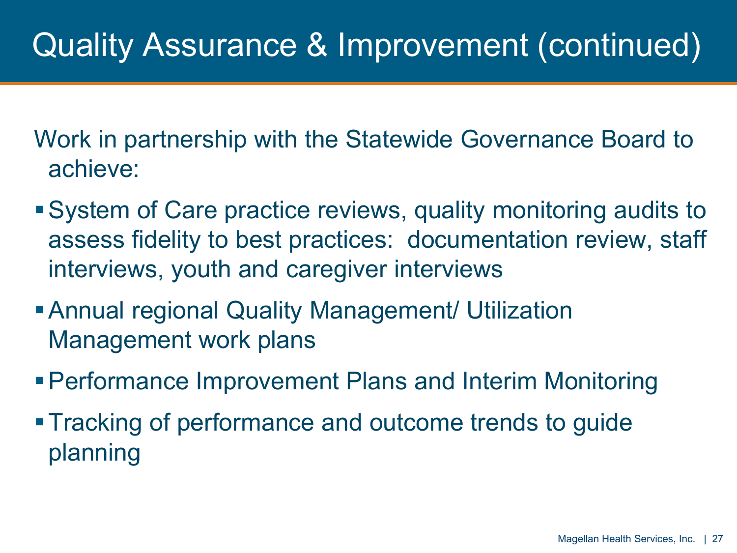## Quality Assurance & Improvement (continued)

Work in partnership with the Statewide Governance Board to achieve:

- System of Care practice reviews, quality monitoring audits to assess fidelity to best practices: documentation review, staff interviews, youth and caregiver interviews
- Annual regional Quality Management/ Utilization Management work plans
- Performance Improvement Plans and Interim Monitoring
- Tracking of performance and outcome trends to guide planning